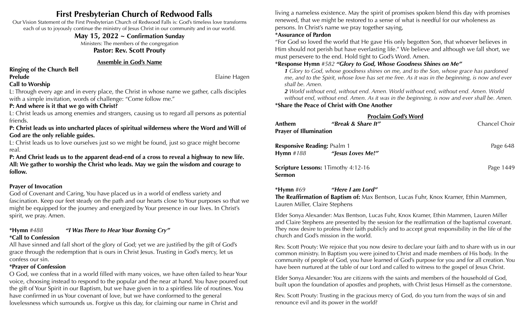# **First Presbyterian Church of Redwood Falls**

Our Vision Statement of the First Presbyterian Church of Redwood Falls is: God's timeless love transforms each of us to joyously continue the ministry of Jesus Christ in our community and in our world.

**May 15, 2022 ~ Confirmation Sunday**

Ministers: The members of the congregation

**Pastor: Rev. Scott Prouty**

## **Assemble in God's Name**

**Ringing of the Church Bell** Prelude **Elaine Hagen** 

## **Call to Worship**

L: Through every age and in every place, the Christ in whose name we gather, calls disciples with a simple invitation, words of challenge: "Come follow me."

## **P: And where is it that we go with Christ?**

L: Christ leads us among enemies and strangers, causing us to regard all persons as potential friends.

## **P: Christ leads us into uncharted places of spiritual wilderness where the Word and Will of God are the only reliable guides.**

L: Christ leads us to love ourselves just so we might be found, just so grace might become real.

**P: And Christ leads us to the apparent dead-end of a cross to reveal a highway to new life. All: We gather to worship the Christ who leads. May we gain the wisdom and courage to follow.**

# **Prayer of Invocation**

God of Covenant and Caring, You have placed us in a world of endless variety and fascination. Keep our feet steady on the path and our hearts close to Your purposes so that we might be equipped for the journey and energized by Your presence in our lives. In Christ's spirit, we pray. Amen.

#### **\*Hymn** *#488 "I Was There to Hear Your Borning Cry"* **\*Call to Confession**

All have sinned and fall short of the glory of God; yet we are justified by the gift of God's grace through the redemption that is ours in Christ Jesus. Trusting in God's mercy, let us confess our sin.

## **\*Prayer of Confession**

O God, we confess that in a world filled with many voices, we have often failed to hear Your voice, choosing instead to respond to the popular and the near at hand. You have poured out the gift of Your Spirit in our Baptism, but we have given in to a spiritless life of routines. You have confirmed in us Your covenant of love, but we have conformed to the general lovelessness which surrounds us. Forgive us this day, for claiming our name in Christ and

living a nameless existence. May the spirit of promises spoken blend this day with promises renewed, that we might be restored to a sense of what is needful for our wholeness as persons. In Christ's name we pray together saying,

### **\*Assurance of Pardon**

"For God so loved the world that He gave His only begotten Son, that whoever believes in Him should not perish but have everlasting life." We believe and although we fall short, we must persevere to the end. Hold tight to God's Word. Amen.

## **\*Response Hymn** *#582 "Glory to God, Whose Goodness Shines on Me"*

*1 Glory to God, whose goodness shines on me, and to the Son, whose grace has pardoned me, and to the Spirit, whose love has set me free. As it was in the beginning, is now and ever shall be. Amen.*

*2 World without end, without end. Amen. World without end, without end. Amen. World without end, without end. Amen. As it was in the beginning, is now and ever shall be. Amen.*

## **\*Share the Peace of Christ with One Another**

| <b>Proclaim God's Word</b>                 |                    |               |  |
|--------------------------------------------|--------------------|---------------|--|
| Anthem                                     | "Break & Share It" | Chancel Choir |  |
| <b>Prayer of Illumination</b>              |                    |               |  |
| <b>Responsive Reading: Psalm 1</b>         |                    | Page 648      |  |
| Hymn $#188$                                | "Jesus Loves Me!"  |               |  |
| <b>Scripture Lessons: 1Timothy 4:12-16</b> |                    | Page 1449     |  |
| <b>Sermon</b>                              |                    |               |  |

### **\*Hymn** *#69 "Here I am Lord"*

**The Reaffirmation of Baptism of:** Max Bentson, Lucas Fuhr, Knox Kramer, Ethin Mammen, Lauren Miller, Claire Stephens

Elder Sonya Alexander: Max Bentson, Lucas Fuhr, Knox Kramer, Ethin Mammen, Lauren Miller and Claire Stephens are presented by the session for the reaffirmation of the baptismal covenant. They now desire to profess their faith publicly and to accept great responsibility in the life of the church and God's mission in the world.

Rev. Scott Prouty: We rejoice that you now desire to declare your faith and to share with us in our common ministry. In Baptism you were joined to Christ and made members of His body. In the community of people of God, you have learned of God's purpose for you and for all creation. You have been nurtured at the table of our Lord and called to witness to the gospel of Jesus Christ.

Elder Sonya Alexander: You are citizens with the saints and members of the household of God, built upon the foundation of apostles and prophets, with Christ Jesus Himself as the cornerstone.

Rev. Scott Prouty: Trusting in the gracious mercy of God, do you turn from the ways of sin and renounce evil and its power in the world?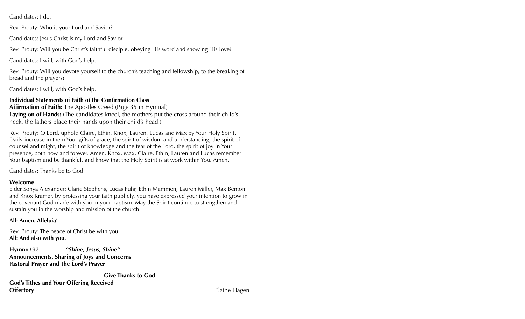Candidates: I do.

Rev. Prouty: Who is your Lord and Savior?

Candidates: Jesus Christ is my Lord and Savior.

Rev. Prouty: Will you be Christ's faithful disciple, obeying His word and showing His love?

Candidates: I will, with God's help.

Rev. Prouty: Will you devote yourself to the church's teaching and fellowship, to the breaking of bread and the prayers?

Candidates: I will, with God's help.

# **Individual Statements of Faith of the Confirmation Class**

**Affirmation of Faith:** The Apostles Creed (Page 35 in Hymnal) Laying on of Hands: (The candidates kneel, the mothers put the cross around their child's neck, the fathers place their hands upon their child's head.)

Rev. Prouty: O Lord, uphold Claire, Ethin, Knox, Lauren, Lucas and Max by Your Holy Spirit. Daily increase in them Your gifts of grace; the spirit of wisdom and understanding, the spirit of counsel and might, the spirit of knowledge and the fear of the Lord, the spirit of joy in Your presence, both now and forever. Amen. Knox, Max, Claire, Ethin, Lauren and Lucas remember Your baptism and be thankful, and know that the Holy Spirit is at work within You. Amen.

Candidates: Thanks be to God.

# **Welcome**

Elder Sonya Alexander: Clarie Stephens, Lucas Fuhr, Ethin Mammen, Lauren Miller, Max Benton and Knox Kramer, by professing your faith publicly, you have expressed your intention to grow in the covenant God made with you in your baptism. May the Spirit continue to strengthen and sustain you in the worship and mission of the church.

# **All: Amen. Alleluia!**

Rev. Prouty: The peace of Christ be with you. **All: And also with you.**

**Hymn***#192 "Shine, Jesus, Shine"* **Announcements, Sharing of Joys and Concerns Pastoral Prayer and The Lord's Prayer**

**Give Thanks to God**

**God's Tithes and Your Offering Received Offertory Elaine Hagen**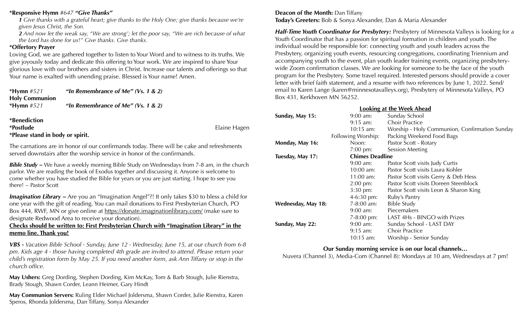### **\*Responsive Hymn** *#647 "Give Thanks"*

*1 Give thanks with a grateful heart; give thanks to the Holy One; give thanks because we're given Jesus Christ, the Son.*

*2 And now let the weak say, "We are strong'; let the poor say, "We are rich because of what the Lord has done for us!" Give thanks. Give thanks.*

## **\*Offertory Prayer**

Loving God, we are gathered together to listen to Your Word and to witness to its truths. We give joyously today and dedicate this offering to Your work. We are inspired to share Your glorious love with our brothers and sisters in Christ. Increase our talents and offerings so that Your name is exalted with unending praise. Blessed is Your name! Amen.

| <b>*Hymn</b> #521     | "In Remembrance of Me" (Vs. 1 & 2) |
|-----------------------|------------------------------------|
| <b>Holy Communion</b> |                                    |
| <b>*Hymn</b> #521     | "In Remembrance of Me" (Vs. 1 & 2) |

**\*Benediction \*Postlude** Elaine Hagen **\*Please stand in body or spirit.**

The carnations are in honor of our confirmands today. There will be cake and refreshments served downstairs after the worship service in honor of the confirmands.

**Bible Study ~** We have a weekly morning Bible Study on Wednesdays from 7-8 am, in the church parlor. We are reading the book of Exodus together and discussing it. Anyone is welcome to come whether you have studied the Bible for years or you are just starting. I hope to see you there! ~ Pastor Scott

*Imagination Library ~ Are you an "Imagination Angel"?! It only takes \$30 to bless a child for* one year with the gift of reading. You can mail donations to First Presbyterian Church, PO Box 444, RWF, MN or give online at <https://donate.imaginationlibrary.com/>(make sure to designate Redwood Area to receive your donation).

# **Checks should be written to: First Presbyterian Church with "Imagination Library" in the memo line. Thank you!**

*VBS - Vacation Bible School - Sunday, June 12 - Wednesday, June 15, at our church from 6-8 pm. Kids age 4 - those having completed 4th grade are invited to attend. Please return your child's registration form by May 25. If you need another form, ask Ann Tiffany or stop in the church office.*

**May Ushers:** Greg Dording, Stephen Dording, Kim McKay, Tom & Barb Stough, Julie Rienstra, Brady Stough, Shawn Corder, Leann Heimer, Gary Hindt

**May Communion Servers:** Ruling Elder Michael Joldersma, Shawn Corder, Julie Rienstra, Karen Speros, Rhonda Joldersma, Dan Tiffany, Sonya Alexander

## **Deacon of the Month:** Dan Tiffany

**Today's Greeters:** Bob & Sonya Alexander, Dan & Maria Alexander

*Half-Time Youth Coordinator for Presbytery: Presbytery of Minnesota Valleys is looking for a* Youth Coordinator that has a passion for spiritual formation in children and youth. The individual would be responsible for: connecting youth and youth leaders across the Presbytery, organizing youth events, resourcing congregations, coordinating Triennium and accompanying youth to the event, plan youth leader training events, organizing presbyterywide Zoom confirmation classes. We are looking for someone to be the face of the youth program for the Presbytery. Some travel required. Interested persons should provide a cover letter with brief faith statement, and a resume with two references by June 1, 2022. Send/ email to Karen Lange (karen@minnesotavalleys.org), Presbytery of Minnesota Valleys, PO Box 431, Kerkhoven MN 56252.

|                                            |                     | <b>Looking at the Week Ahead</b>              |
|--------------------------------------------|---------------------|-----------------------------------------------|
| Sunday, May 15:                            | $9:00$ am:          | Sunday School                                 |
|                                            | 9:15 am:            | <b>Choir Practice</b>                         |
|                                            | 10:15 am:           | Worship - Holy Communion, Confirmation Sunday |
|                                            | Following Worship:  | Packing Weekend Food Bags                     |
| Monday, May 16:                            | Noon:               | Pastor Scott - Rotary                         |
|                                            | $7:00 \text{ pm}$ : | <b>Session Meeting</b>                        |
| <b>Chimes Deadline</b><br>Tuesday, May 17: |                     |                                               |
|                                            | $9:00$ am:          | Pastor Scott visits Judy Curtis               |
|                                            | $10:00$ am:         | Pastor Scott visits Laura Kohler              |
|                                            | $11:00$ am:         | Pastor Scott visits Gerry & Deb Hess          |
|                                            | $2:00 \text{ pm}$ : | Pastor Scott visits Doreen Steenblock         |
|                                            | $3:30 \text{ pm}$ : | Pastor Scott visits Leon & Sharon King        |
|                                            | 4-6:30 pm:          | Ruby's Pantry                                 |
| <b>Wednesday, May 18:</b>                  | 7-8:00 am:          | <b>Bible Study</b>                            |
|                                            | $9:00$ am:          | Piecemakers                                   |
|                                            | 7-8:00 pm:          | LAST 4Hs - BINGO with Prizes                  |
| Sunday, May 22:                            | $9:00$ am:          | Sunday School - LAST DAY                      |
|                                            | 9:15 am:            | <b>Choir Practice</b>                         |
|                                            | $10:15$ am:         | Worship - Senior Sunday                       |
|                                            |                     |                                               |

# **Our Sunday morning service is on our local channels…**

Nuvera (Channel 3), Media-Com (Channel 8): Mondays at 10 am, Wednesdays at 7 pm!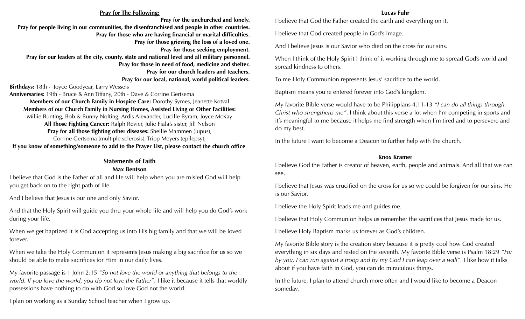#### **Pray for The Following:**

**Pray for the unchurched and lonely. Pray for people living in our communities, the disenfranchised and people in other countries. Pray for those who are having financial or marital difficulties. Pray for those grieving the loss of a loved one. Pray for those seeking employment. Pray for our leaders at the city, county, state and national level and all military personnel. Pray for those in need of food, medicine and shelter. Pray for our church leaders and teachers. Pray for our local, national, world political leaders. Birthdays:** 18th - Joyce Goodyear, Larry Wessels **Anniversaries:** 19th - Bruce & Ann Tiffany, 20th - Dave & Corrine Gertsema **Members of our Church Family in Hospice Care:** Dorothy Symes, Jeanette Kotval **Members of our Church Family in Nursing Homes, Assisted Living or Other Facilities:** Millie Bunting, Bob & Bunny Nolting, Ardis Alexander, Lucille Byram, Joyce McKay **All Those Fighting Cancer:** Ralph Revier, Julie Fiala's sister, Jill Nelson

**Pray for all those fighting other diseases:** Shellie Mammen (lupus), Corrine Gertsema (multiple sclerosis), Tripp Meyers (epilepsy), **If you know of something/someone to add to the Prayer List, please contact the church office**.

#### **Statements of Faith**

#### **Max Bentson**

I believe that God is the Father of all and He will help when you are misled God will help you get back on to the right path of life.

And I believe that Jesus is our one and only Savior.

And that the Holy Spirit will guide you thru your whole life and will help you do God's work during your life.

When we get baptized it is God accepting us into His big family and that we will be loved forever.

When we take the Holy Communion it represents Jesus making a big sacrifice for us so we should be able to make sacrifices for Him in our daily lives.

My favorite passage is 1 John 2:15 *"So not love the world or anything that belongs to the world. If you love the world, you do not love the Father*". I like it because it tells that worldly possessions have nothing to do with God so love God not the world.

I plan on working as a Sunday School teacher when I grow up.

#### **Lucas Fuhr**

I believe that God the Father created the earth and everything on it.

I believe that God created people in God's image.

And I believe Jesus is our Savior who died on the cross for our sins.

When I think of the Holy Spirit I think of it working through me to spread God's world and spread kindness to others.

To me Holy Communion represents Jesus' sacrifice to the world.

Baptism means you're entered forever into God's kingdom.

My favorite Bible verse would have to be Philippians 4:11-13 *"I can do all things through Christ who strengthens me"*. I think about this verse a lot when I'm competing in sports and it's meaningful to me because it helps me find strength when I'm tired and to persevere and do my best.

In the future I want to become a Deacon to further help with the church.

#### **Knox Kramer**

I believe God the Father is creator of heaven, earth, people and animals. And all that we can see.

I believe that Jesus was crucified on the cross for us so we could be forgiven for our sins. He is our Savior.

I believe the Holy Spirit leads me and guides me.

I believe that Holy Communion helps us remember the sacrifices that Jesus made for us.

I believe Holy Baptism marks us forever as God's children.

My favorite Bible story is the creation story because it is pretty cool how God created everything in six days and rested on the seventh. My favorite Bible verse is Psalm 18:29 *"For by you, I can run against a troop and by my God I can leap over a wall"*. I like how it talks about if you have faith in God, you can do miraculous things.

In the future, I plan to attend church more often and I would like to become a Deacon someday.